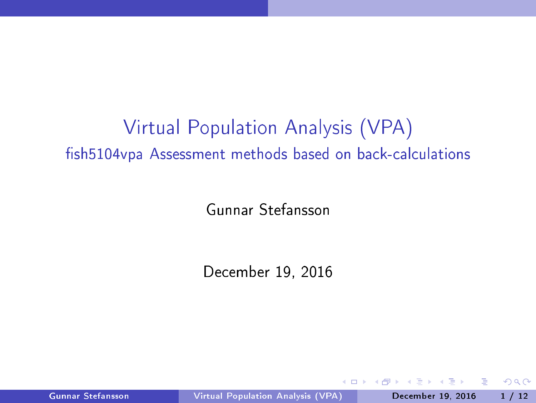# Virtual Population Analysis (VPA) fish5104vpa Assessment methods based on back-calculations

Gunnar Stefansson

De
ember 19, 2016

Gunnar Stefansson **Virtual [Population](#page-11-0) Analysis (VPA)** December 19, 2016 1/12

<span id="page-0-0"></span>

 $\leftarrow$   $\Box$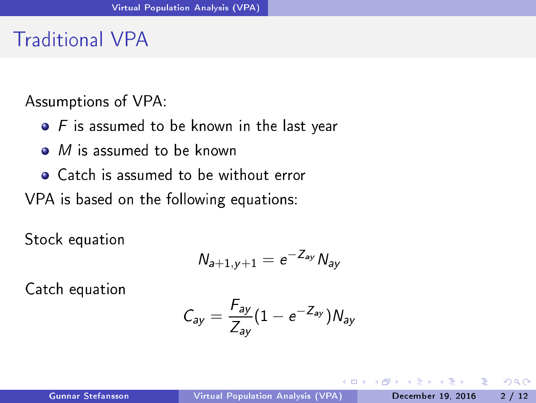## **Traditional VPA**

Assumptions of VPA:

- $\bullet$  F is assumed to be known in the last year
- $\bullet$  *M* is assumed to be known
- Catch is assumed to be without error

VPA is based on the following equations:

Stock equation

$$
N_{a+1,y+1}=e^{-Z_{ay}}\,N_{ay}
$$

Cat
h equation

$$
\mathcal{C}_{ay} = \frac{F_{ay}}{Z_{ay}} (1 - e^{-Z_{ay}}) N_{ay}
$$

<span id="page-1-0"></span> $\equiv$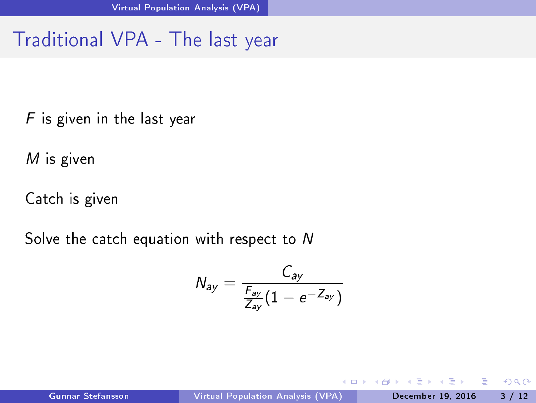## Traditional VPA - The last year

 $F$  is given in the last year <sup>F</sup> is given in the last year

<sup>M</sup> is given

Cat
h is given

Solve the catch equation with respect to N

$$
N_{ay} = \frac{C_{ay}}{\frac{F_{ay}}{Z_{ay}}(1 - e^{-Z_{ay}})}
$$

Þ

<span id="page-2-0"></span> $QQ$ 

 $\leftarrow$   $\Box$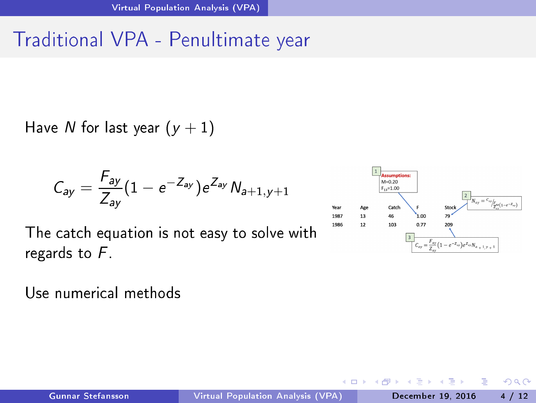## Traditional VPA - Penultimate year

Have N for last year  $(y + 1)$ 

$$
C_{ay} = \frac{F_{ay}}{Z_{ay}} (1 - e^{-Z_{ay}}) e^{Z_{ay}} N_{a+1,y+1}
$$

The catch equation is not easy to solve with regards to <sup>F</sup> .

Use numerical methods



<span id="page-3-0"></span> $\blacksquare$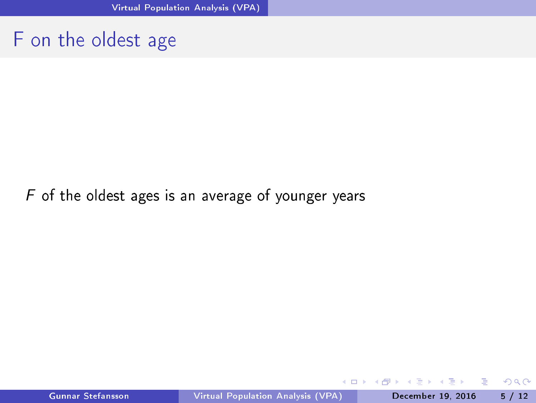#### F on the oldest age

#### $F$  of the oldest ages is an average of younger years

4 0 8

<span id="page-4-0"></span> $298$ 

э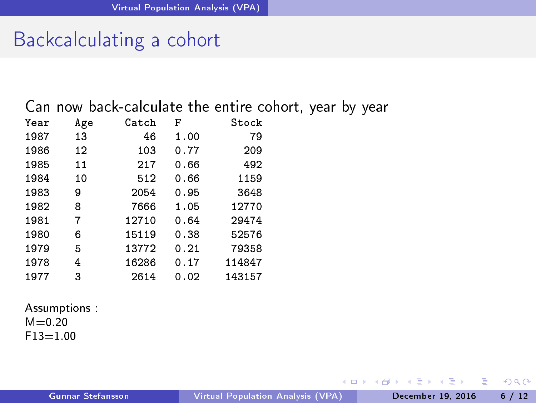#### Backcalculating a cohort

Can now back-calculate the entire cohort, year by year

| Year | Age | Catch | F    | Stock  |
|------|-----|-------|------|--------|
| 1987 | 13  | 46    | 1.00 | 79     |
| 1986 | 12  | 103   | 0.77 | 209    |
| 1985 | 11  | 217   | 0.66 | 492    |
| 1984 | 10  | 512   | 0.66 | 1159   |
| 1983 | 9   | 2054  | 0.95 | 3648   |
| 1982 | 8   | 7666  | 1.05 | 12770  |
| 1981 | 7   | 12710 | 0.64 | 29474  |
| 1980 | 6   | 15119 | 0.38 | 52576  |
| 1979 | 5   | 13772 | 0.21 | 79358  |
| 1978 | 4   | 16286 | 0.17 | 114847 |
| 1977 | 3   | 2614  | 0.02 | 143157 |

Assumptions :

 $M = 0.20$  $F13 = 1.00$ 

 $\rightarrow$   $\equiv$   $\rightarrow$ 

<span id="page-5-0"></span>э

4 0 8 4 母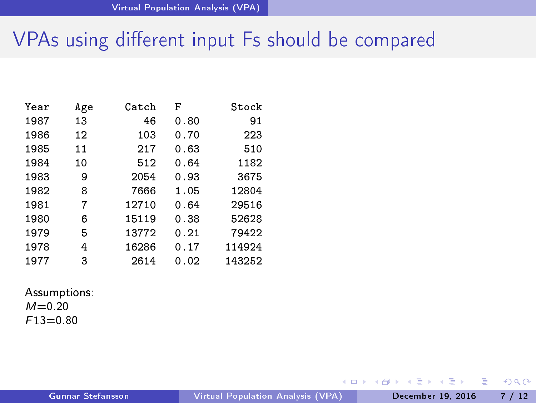## VPAs using different input Fs should be compared

| Year | Age | Catch | F    | Stock  |
|------|-----|-------|------|--------|
| 1987 | 13  | 46    | 0.80 | 91     |
| 1986 | 12  | 103   | 0.70 | 223    |
| 1985 | 11  | 217   | 0.63 | 510    |
| 1984 | 10  | 512   | 0.64 | 1182   |
| 1983 | 9   | 2054  | 0.93 | 3675   |
| 1982 | 8   | 7666  | 1.05 | 12804  |
| 1981 | 7   | 12710 | 0.64 | 29516  |
| 1980 | 6   | 15119 | 0.38 | 52628  |
| 1979 | 5   | 13772 | 0.21 | 79422  |
| 1978 | 4   | 16286 | 0.17 | 114924 |
| 1977 | 3   | 2614  | 0.02 | 143252 |

#### Assumptions:  $M = 0.20$  $F13 = 0.80$

4 0 8

4 個 →

 $\mathbf{y} = \mathbf{y} \oplus \mathbf{y}$ 

<span id="page-6-0"></span>э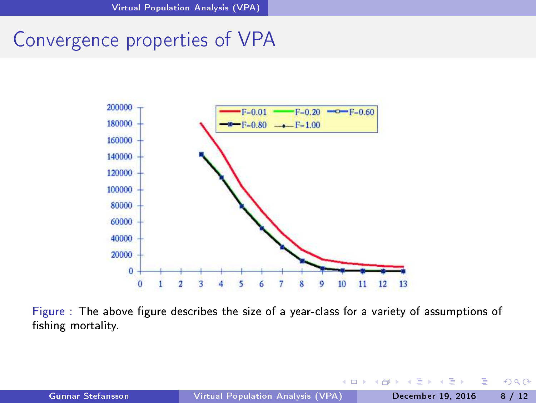Convergen
e properties of VPA



Figure : The above figure describes the size of a year-class for a variety of assumptions of fishing mortality.

 $\sim$ 

<span id="page-7-0"></span>. p Э

4 母

4 0 8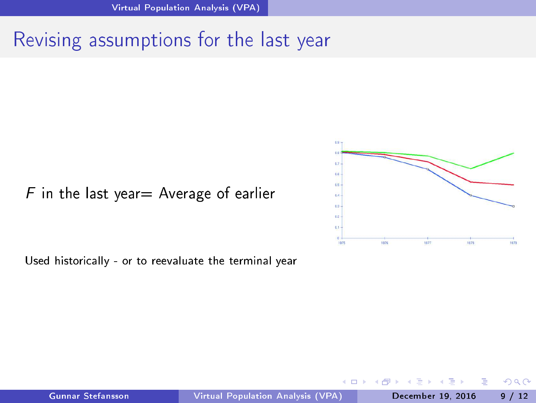# Revising assumptions for the last year

#### $F$  in the last year = Average of earlier





<span id="page-8-0"></span> $\leftarrow$   $\Box$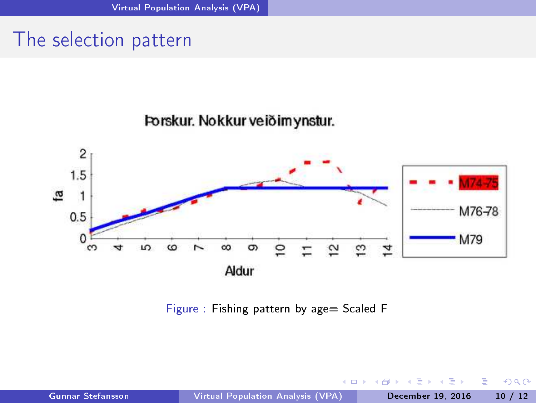#### The selection pattern



Forskur. Nokkur veiðimynstur.

Figure : Fishing pattern by age= Scaled F

 $\leftarrow$   $\Box$ 

Þ

<span id="page-9-0"></span>Þ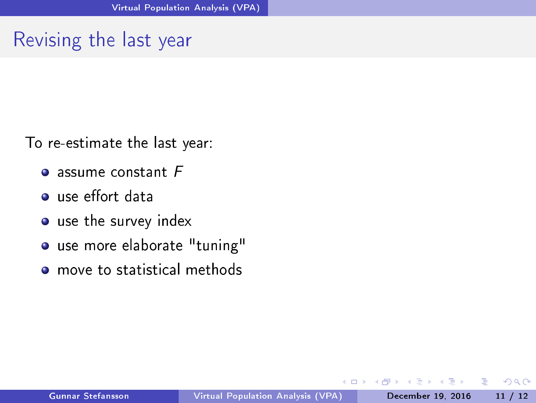# Revising the last year

To re-estimate the last year:

- $\bullet$  assume constant  $F$
- **Q** use effort data
- $u_{\rm max}$  the survey index survey index survey index survey index survey index survey index survey index survey in
- o use more elaborate "tuning"
- move to statistical methods

Ξ÷

<span id="page-10-0"></span>э